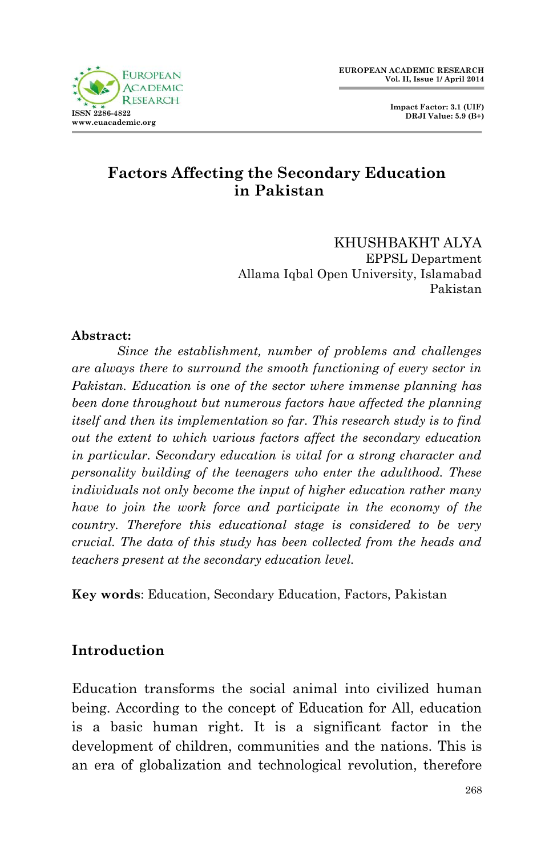

 **Impact Factor: 3.1 (UIF) DRJI Value: 5.9 (B+)**

## **Factors Affecting the Secondary Education in Pakistan**

KHUSHBAKHT ALYA EPPSL Department Allama Iqbal Open University, Islamabad Pakistan

#### **Abstract:**

*Since the establishment, number of problems and challenges are always there to surround the smooth functioning of every sector in Pakistan. Education is one of the sector where immense planning has been done throughout but numerous factors have affected the planning itself and then its implementation so far. This research study is to find out the extent to which various factors affect the secondary education in particular. Secondary education is vital for a strong character and personality building of the teenagers who enter the adulthood. These individuals not only become the input of higher education rather many have to join the work force and participate in the economy of the country. Therefore this educational stage is considered to be very crucial. The data of this study has been collected from the heads and teachers present at the secondary education level.* 

**Key words**: Education, Secondary Education, Factors, Pakistan

## **Introduction**

Education transforms the social animal into civilized human being. According to the concept of Education for All, education is a basic human right. It is a significant factor in the development of children, communities and the nations. This is an era of globalization and technological revolution, therefore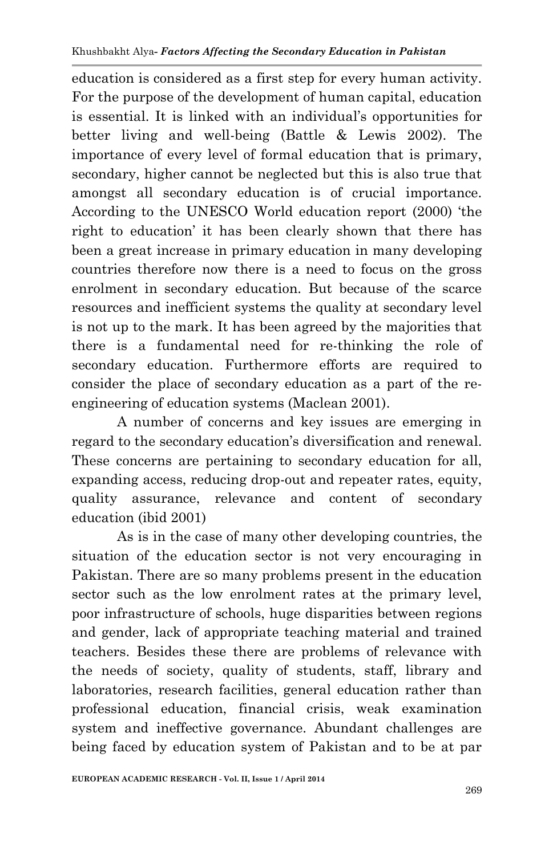education is considered as a first step for every human activity. For the purpose of the development of human capital, education is essential. It is linked with an individual's opportunities for better living and well-being (Battle & Lewis 2002). The importance of every level of formal education that is primary, secondary, higher cannot be neglected but this is also true that amongst all secondary education is of crucial importance. According to the UNESCO World education report (2000) 'the right to education' it has been clearly shown that there has been a great increase in primary education in many developing countries therefore now there is a need to focus on the gross enrolment in secondary education. But because of the scarce resources and inefficient systems the quality at secondary level is not up to the mark. It has been agreed by the majorities that there is a fundamental need for re-thinking the role of secondary education. Furthermore efforts are required to consider the place of secondary education as a part of the reengineering of education systems (Maclean 2001).

A number of concerns and key issues are emerging in regard to the secondary education's diversification and renewal. These concerns are pertaining to secondary education for all, expanding access, reducing drop-out and repeater rates, equity, quality assurance, relevance and content of secondary education (ibid 2001)

As is in the case of many other developing countries, the situation of the education sector is not very encouraging in Pakistan. There are so many problems present in the education sector such as the low enrolment rates at the primary level, poor infrastructure of schools, huge disparities between regions and gender, lack of appropriate teaching material and trained teachers. Besides these there are problems of relevance with the needs of society, quality of students, staff, library and laboratories, research facilities, general education rather than professional education, financial crisis, weak examination system and ineffective governance. Abundant challenges are being faced by education system of Pakistan and to be at par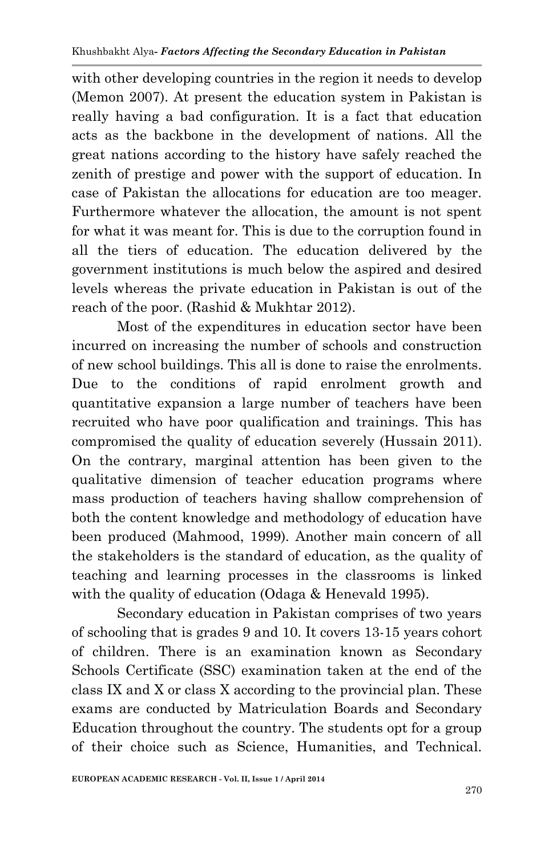with other developing countries in the region it needs to develop (Memon 2007). At present the education system in Pakistan is really having a bad configuration. It is a fact that education acts as the backbone in the development of nations. All the great nations according to the history have safely reached the zenith of prestige and power with the support of education. In case of Pakistan the allocations for education are too meager. Furthermore whatever the allocation, the amount is not spent for what it was meant for. This is due to the corruption found in all the tiers of education. The education delivered by the government institutions is much below the aspired and desired levels whereas the private education in Pakistan is out of the reach of the poor. (Rashid & Mukhtar 2012).

Most of the expenditures in education sector have been incurred on increasing the number of schools and construction of new school buildings. This all is done to raise the enrolments. Due to the conditions of rapid enrolment growth and quantitative expansion a large number of teachers have been recruited who have poor qualification and trainings. This has compromised the quality of education severely (Hussain 2011). On the contrary, marginal attention has been given to the qualitative dimension of teacher education programs where mass production of teachers having shallow comprehension of both the content knowledge and methodology of education have been produced (Mahmood, 1999). Another main concern of all the stakeholders is the standard of education, as the quality of teaching and learning processes in the classrooms is linked with the quality of education (Odaga & Henevald 1995).

Secondary education in Pakistan comprises of two years of schooling that is grades 9 and 10. It covers 13-15 years cohort of children. There is an examination known as Secondary Schools Certificate (SSC) examination taken at the end of the class IX and X or class X according to the provincial plan. These exams are conducted by Matriculation Boards and Secondary Education throughout the country. The students opt for a group of their choice such as Science, Humanities, and Technical.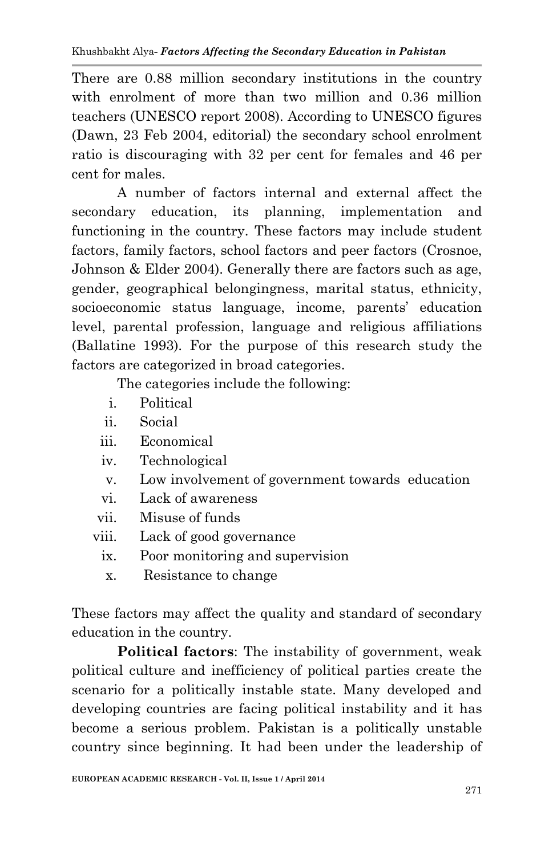There are 0.88 million secondary institutions in the country with enrolment of more than two million and 0.36 million teachers (UNESCO report 2008). According to UNESCO figures (Dawn, 23 Feb 2004, editorial) the secondary school enrolment ratio is discouraging with 32 per cent for females and 46 per cent for males.

A number of factors internal and external affect the secondary education, its planning, implementation and functioning in the country. These factors may include student factors, family factors, school factors and peer factors (Crosnoe, Johnson & Elder 2004). Generally there are factors such as age, gender, geographical belongingness, marital status, ethnicity, socioeconomic status language, income, parents' education level, parental profession, language and religious affiliations (Ballatine 1993). For the purpose of this research study the factors are categorized in broad categories.

The categories include the following:

- i. Political
- ii. Social
- iii. Economical
- iv. Technological
- v. Low involvement of government towards education
- vi. Lack of awareness
- vii. Misuse of funds
- viii. Lack of good governance
	- ix. Poor monitoring and supervision
	- x. Resistance to change

These factors may affect the quality and standard of secondary education in the country.

**Political factors**: The instability of government, weak political culture and inefficiency of political parties create the scenario for a politically instable state. Many developed and developing countries are facing political instability and it has become a serious problem. Pakistan is a politically unstable country since beginning. It had been under the leadership of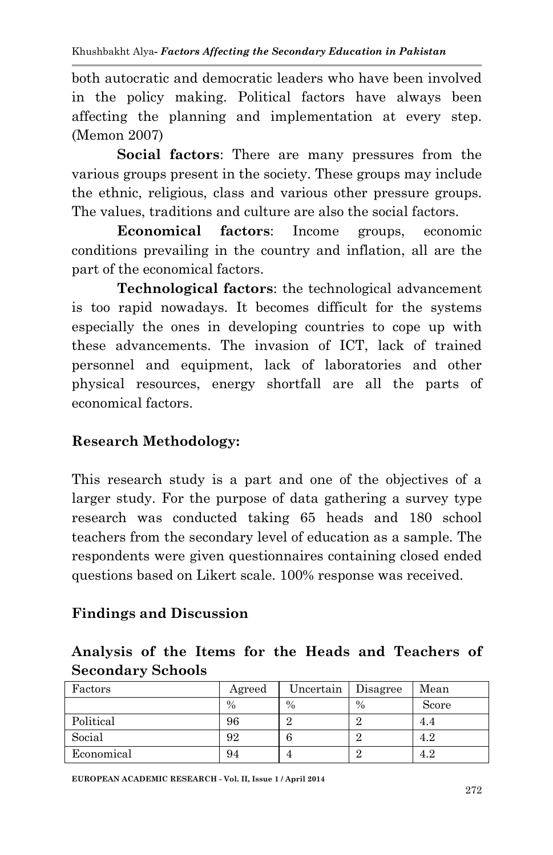both autocratic and democratic leaders who have been involved in the policy making. Political factors have always been affecting the planning and implementation at every step. (Memon 2007)

**Social factors**: There are many pressures from the various groups present in the society. These groups may include the ethnic, religious, class and various other pressure groups. The values, traditions and culture are also the social factors.

**Economical factors**: Income groups, economic conditions prevailing in the country and inflation, all are the part of the economical factors.

**Technological factors**: the technological advancement is too rapid nowadays. It becomes difficult for the systems especially the ones in developing countries to cope up with these advancements. The invasion of ICT, lack of trained personnel and equipment, lack of laboratories and other physical resources, energy shortfall are all the parts of economical factors.

# **Research Methodology:**

This research study is a part and one of the objectives of a larger study. For the purpose of data gathering a survey type research was conducted taking 65 heads and 180 school teachers from the secondary level of education as a sample. The respondents were given questionnaires containing closed ended questions based on Likert scale. 100% response was received.

## **Findings and Discussion**

## **Analysis of the Items for the Heads and Teachers of Secondary Schools**

| Factors    | Agreed | Uncertain | Disagree      | Mean  |
|------------|--------|-----------|---------------|-------|
|            | $\%$   | $\%$      | $\frac{0}{0}$ | Score |
| Political  | 96     |           |               | 4.4   |
| Social     | 92     | h         |               | 4.2   |
| Economical | 94     |           |               | 4.2   |

**EUROPEAN ACADEMIC RESEARCH - Vol. II, Issue 1 / April 2014**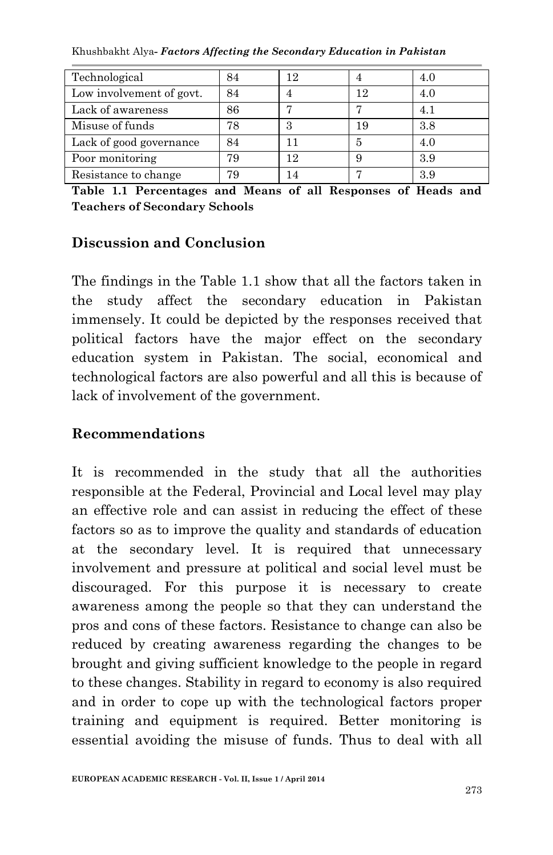Khushbakht Alya*- Factors Affecting the Secondary Education in Pakistan*

| Technological            | 84 | 12 |    | 4.0 |
|--------------------------|----|----|----|-----|
| Low involvement of govt. | 84 |    | 12 | 4.0 |
| Lack of awareness        | 86 |    |    | 4.1 |
| Misuse of funds          | 78 |    | 19 | 3.8 |
| Lack of good governance  | 84 |    | 5  | 4.0 |
| Poor monitoring          | 79 | 12 |    | 3.9 |
| Resistance to change     | 79 | 14 |    | 3.9 |

**Table 1.1 Percentages and Means of all Responses of Heads and Teachers of Secondary Schools** 

## **Discussion and Conclusion**

The findings in the Table 1.1 show that all the factors taken in the study affect the secondary education in Pakistan immensely. It could be depicted by the responses received that political factors have the major effect on the secondary education system in Pakistan. The social, economical and technological factors are also powerful and all this is because of lack of involvement of the government.

#### **Recommendations**

It is recommended in the study that all the authorities responsible at the Federal, Provincial and Local level may play an effective role and can assist in reducing the effect of these factors so as to improve the quality and standards of education at the secondary level. It is required that unnecessary involvement and pressure at political and social level must be discouraged. For this purpose it is necessary to create awareness among the people so that they can understand the pros and cons of these factors. Resistance to change can also be reduced by creating awareness regarding the changes to be brought and giving sufficient knowledge to the people in regard to these changes. Stability in regard to economy is also required and in order to cope up with the technological factors proper training and equipment is required. Better monitoring is essential avoiding the misuse of funds. Thus to deal with all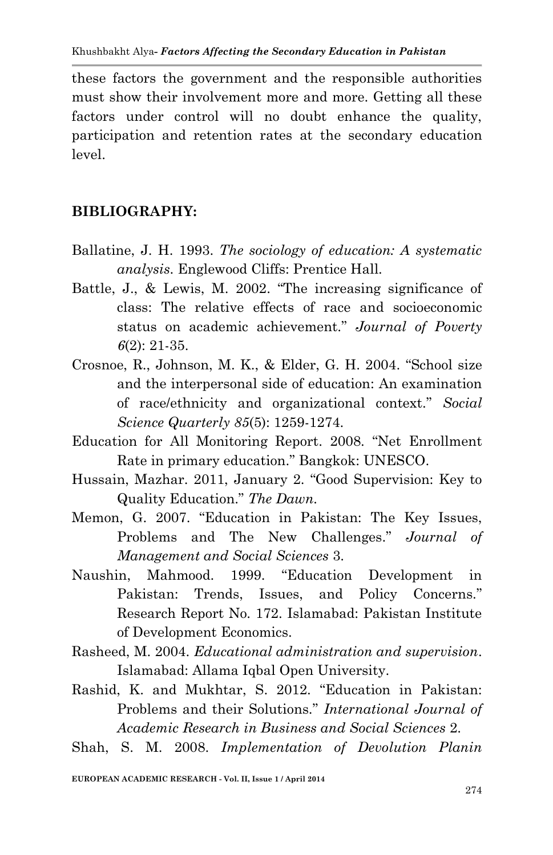these factors the government and the responsible authorities must show their involvement more and more. Getting all these factors under control will no doubt enhance the quality, participation and retention rates at the secondary education level.

## **BIBLIOGRAPHY:**

- Ballatine, J. H. 1993. *The sociology of education: A systematic analysis*. Englewood Cliffs: Prentice Hall.
- Battle, J., & Lewis, M. 2002. "The increasing significance of class: The relative effects of race and socioeconomic status on academic achievement." *Journal of Poverty 6*(2): 21-35.
- Crosnoe, R., Johnson, M. K., & Elder, G. H. 2004. "School size and the interpersonal side of education: An examination of race/ethnicity and organizational context." *Social Science Quarterly 85*(5): 1259-1274.
- Education for All Monitoring Report. 2008. "Net Enrollment Rate in primary education." Bangkok: UNESCO.
- Hussain, Mazhar. 2011, January 2. "Good Supervision: Key to Quality Education." *The Dawn.*
- Memon, G. 2007. "Education in Pakistan: The Key Issues, Problems and The New Challenges." *Journal of Management and Social Sciences* 3.
- Naushin, Mahmood. 1999. "Education Development in Pakistan: Trends, Issues, and Policy Concerns." Research Report No. 172. Islamabad: Pakistan Institute of Development Economics.
- Rasheed, M. 2004. *Educational administration and supervision*. Islamabad: Allama Iqbal Open University.
- Rashid, K. and Mukhtar, S. 2012. "Education in Pakistan: Problems and their Solutions." *International Journal of Academic Research in Business and Social Sciences* 2.
- Shah, S. M. 2008. *Implementation of Devolution Planin*